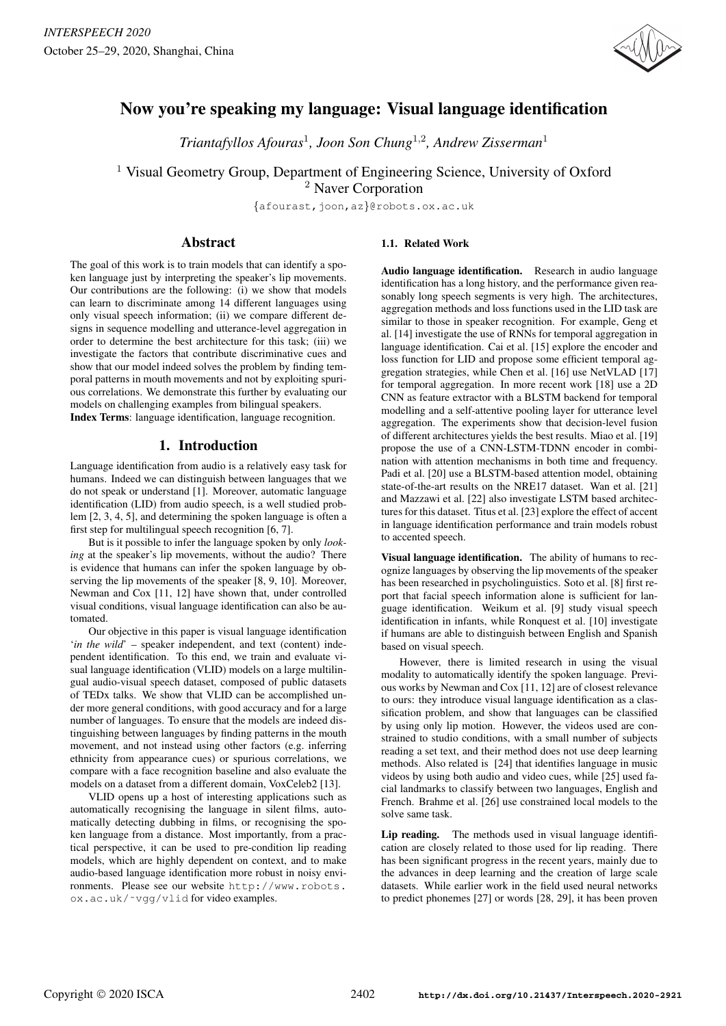

# Now you're speaking my language: Visual language identification

*Triantafyllos Afouras*<sup>1</sup> *, Joon Son Chung*<sup>1</sup>,<sup>2</sup> *, Andrew Zisserman*<sup>1</sup>

<sup>1</sup> Visual Geometry Group, Department of Engineering Science, University of Oxford

<sup>2</sup> Naver Corporation

{afourast,joon,az}@robots.ox.ac.uk

# Abstract

The goal of this work is to train models that can identify a spoken language just by interpreting the speaker's lip movements. Our contributions are the following: (i) we show that models can learn to discriminate among 14 different languages using only visual speech information; (ii) we compare different designs in sequence modelling and utterance-level aggregation in order to determine the best architecture for this task; (iii) we investigate the factors that contribute discriminative cues and show that our model indeed solves the problem by finding temporal patterns in mouth movements and not by exploiting spurious correlations. We demonstrate this further by evaluating our models on challenging examples from bilingual speakers. Index Terms: language identification, language recognition.

# 1. Introduction

Language identification from audio is a relatively easy task for humans. Indeed we can distinguish between languages that we do not speak or understand [1]. Moreover, automatic language identification (LID) from audio speech, is a well studied problem [2, 3, 4, 5], and determining the spoken language is often a first step for multilingual speech recognition [6, 7].

But is it possible to infer the language spoken by only *looking* at the speaker's lip movements, without the audio? There is evidence that humans can infer the spoken language by observing the lip movements of the speaker [8, 9, 10]. Moreover, Newman and Cox [11, 12] have shown that, under controlled visual conditions, visual language identification can also be automated.

Our objective in this paper is visual language identification '*in the wild*' – speaker independent, and text (content) independent identification. To this end, we train and evaluate visual language identification (VLID) models on a large multilingual audio-visual speech dataset, composed of public datasets of TEDx talks. We show that VLID can be accomplished under more general conditions, with good accuracy and for a large number of languages. To ensure that the models are indeed distinguishing between languages by finding patterns in the mouth movement, and not instead using other factors (e.g. inferring ethnicity from appearance cues) or spurious correlations, we compare with a face recognition baseline and also evaluate the models on a dataset from a different domain, VoxCeleb2 [13].

VLID opens up a host of interesting applications such as automatically recognising the language in silent films, automatically detecting dubbing in films, or recognising the spoken language from a distance. Most importantly, from a practical perspective, it can be used to pre-condition lip reading models, which are highly dependent on context, and to make audio-based language identification more robust in noisy environments. Please see our website http://www.robots. ox.ac.uk/˜vgg/vlid for video examples.

# 1.1. Related Work

Audio language identification. Research in audio language identification has a long history, and the performance given reasonably long speech segments is very high. The architectures, aggregation methods and loss functions used in the LID task are similar to those in speaker recognition. For example, Geng et al. [14] investigate the use of RNNs for temporal aggregation in language identification. Cai et al. [15] explore the encoder and loss function for LID and propose some efficient temporal aggregation strategies, while Chen et al. [16] use NetVLAD [17] for temporal aggregation. In more recent work [18] use a 2D CNN as feature extractor with a BLSTM backend for temporal modelling and a self-attentive pooling layer for utterance level aggregation. The experiments show that decision-level fusion of different architectures yields the best results. Miao et al. [19] propose the use of a CNN-LSTM-TDNN encoder in combination with attention mechanisms in both time and frequency. Padi et al. [20] use a BLSTM-based attention model, obtaining state-of-the-art results on the NRE17 dataset. Wan et al. [21] and Mazzawi et al. [22] also investigate LSTM based architectures for this dataset. Titus et al. [23] explore the effect of accent in language identification performance and train models robust to accented speech.

Visual language identification. The ability of humans to recognize languages by observing the lip movements of the speaker has been researched in psycholinguistics. Soto et al. [8] first report that facial speech information alone is sufficient for language identification. Weikum et al. [9] study visual speech identification in infants, while Ronquest et al. [10] investigate if humans are able to distinguish between English and Spanish based on visual speech.

However, there is limited research in using the visual modality to automatically identify the spoken language. Previous works by Newman and Cox [11, 12] are of closest relevance to ours: they introduce visual language identification as a classification problem, and show that languages can be classified by using only lip motion. However, the videos used are constrained to studio conditions, with a small number of subjects reading a set text, and their method does not use deep learning methods. Also related is [24] that identifies language in music videos by using both audio and video cues, while [25] used facial landmarks to classify between two languages, English and French. Brahme et al. [26] use constrained local models to the solve same task.

Lip reading. The methods used in visual language identification are closely related to those used for lip reading. There has been significant progress in the recent years, mainly due to the advances in deep learning and the creation of large scale datasets. While earlier work in the field used neural networks to predict phonemes [27] or words [28, 29], it has been proven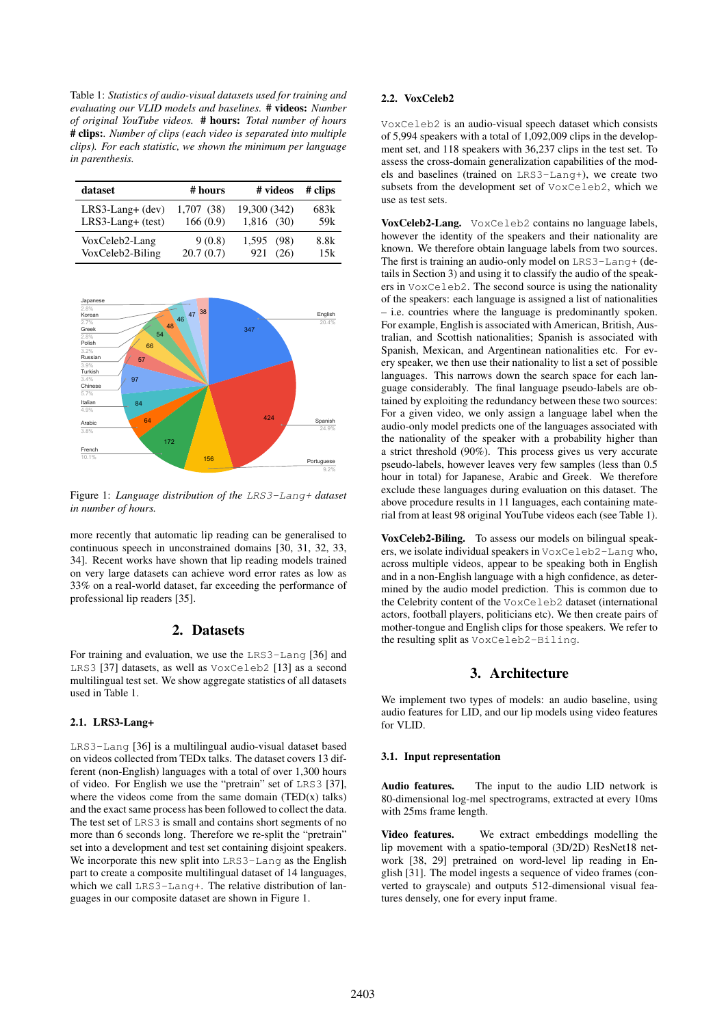Table 1: *Statistics of audio-visual datasets used for training and evaluating our VLID models and baselines.* # videos: *Number of original YouTube videos.* # hours: *Total number of hours* # clips:*. Number of clips (each video is separated into multiple clips). For each statistic, we shown the minimum per language in parenthesis.*

| dataset                                     | # hours                | # videos                     | # clips     |
|---------------------------------------------|------------------------|------------------------------|-------------|
| $LRS3$ -Lang+ (dev)<br>$LRS3$ -Lang+ (test) | 1,707 (38)<br>166(0.9) | 19,300 (342)<br>1,816(30)    | 683k<br>59k |
| VoxCeleb2-Lang<br>VoxCeleb2-Biling          | 9(0.8)<br>20.7(0.7)    | 1.595<br>(98)<br>(26)<br>921 | 8.8k<br>15k |



Figure 1: *Language distribution of the* LRS3-Lang+ *dataset in number of hours.*

more recently that automatic lip reading can be generalised to continuous speech in unconstrained domains [30, 31, 32, 33, 34]. Recent works have shown that lip reading models trained on very large datasets can achieve word error rates as low as 33% on a real-world dataset, far exceeding the performance of professional lip readers [35].

## 2. Datasets

For training and evaluation, we use the LRS3-Lang [36] and LRS3 [37] datasets, as well as VoxCeleb2 [13] as a second multilingual test set. We show aggregate statistics of all datasets used in Table 1.

#### 2.1. LRS3-Lang+

LRS3-Lang [36] is a multilingual audio-visual dataset based on videos collected from TEDx talks. The dataset covers 13 different (non-English) languages with a total of over 1,300 hours of video. For English we use the "pretrain" set of LRS3 [37], where the videos come from the same domain ( $TED(x)$  talks) and the exact same process has been followed to collect the data. The test set of LRS3 is small and contains short segments of no more than 6 seconds long. Therefore we re-split the "pretrain" set into a development and test set containing disjoint speakers. We incorporate this new split into LRS3-Lang as the English part to create a composite multilingual dataset of 14 languages, which we call LRS3-Lang+. The relative distribution of languages in our composite dataset are shown in Figure 1.

#### 2.2. VoxCeleb2

VoxCeleb2 is an audio-visual speech dataset which consists of 5,994 speakers with a total of 1,092,009 clips in the development set, and 118 speakers with 36,237 clips in the test set. To assess the cross-domain generalization capabilities of the models and baselines (trained on LRS3-Lang+), we create two subsets from the development set of VoxCeleb2, which we use as test sets.

VoxCeleb2-Lang. VoxCeleb2 contains no language labels, however the identity of the speakers and their nationality are known. We therefore obtain language labels from two sources. The first is training an audio-only model on LRS3-Lang+ (details in Section 3) and using it to classify the audio of the speakers in VoxCeleb2. The second source is using the nationality of the speakers: each language is assigned a list of nationalities – i.e. countries where the language is predominantly spoken. For example, English is associated with American, British, Australian, and Scottish nationalities; Spanish is associated with Spanish, Mexican, and Argentinean nationalities etc. For every speaker, we then use their nationality to list a set of possible languages. This narrows down the search space for each language considerably. The final language pseudo-labels are obtained by exploiting the redundancy between these two sources: For a given video, we only assign a language label when the audio-only model predicts one of the languages associated with the nationality of the speaker with a probability higher than a strict threshold (90%). This process gives us very accurate pseudo-labels, however leaves very few samples (less than 0.5 hour in total) for Japanese, Arabic and Greek. We therefore exclude these languages during evaluation on this dataset. The above procedure results in 11 languages, each containing material from at least 98 original YouTube videos each (see Table 1).

VoxCeleb2-Biling. To assess our models on bilingual speakers, we isolate individual speakers in VoxCeleb2-Lang who, across multiple videos, appear to be speaking both in English and in a non-English language with a high confidence, as determined by the audio model prediction. This is common due to the Celebrity content of the VoxCeleb2 dataset (international actors, football players, politicians etc). We then create pairs of mother-tongue and English clips for those speakers. We refer to the resulting split as VoxCeleb2-Biling.

# 3. Architecture

We implement two types of models: an audio baseline, using audio features for LID, and our lip models using video features for VLID.

#### 3.1. Input representation

Audio features. The input to the audio LID network is 80-dimensional log-mel spectrograms, extracted at every 10ms with 25ms frame length.

Video features. We extract embeddings modelling the lip movement with a spatio-temporal (3D/2D) ResNet18 network [38, 29] pretrained on word-level lip reading in English [31]. The model ingests a sequence of video frames (converted to grayscale) and outputs 512-dimensional visual features densely, one for every input frame.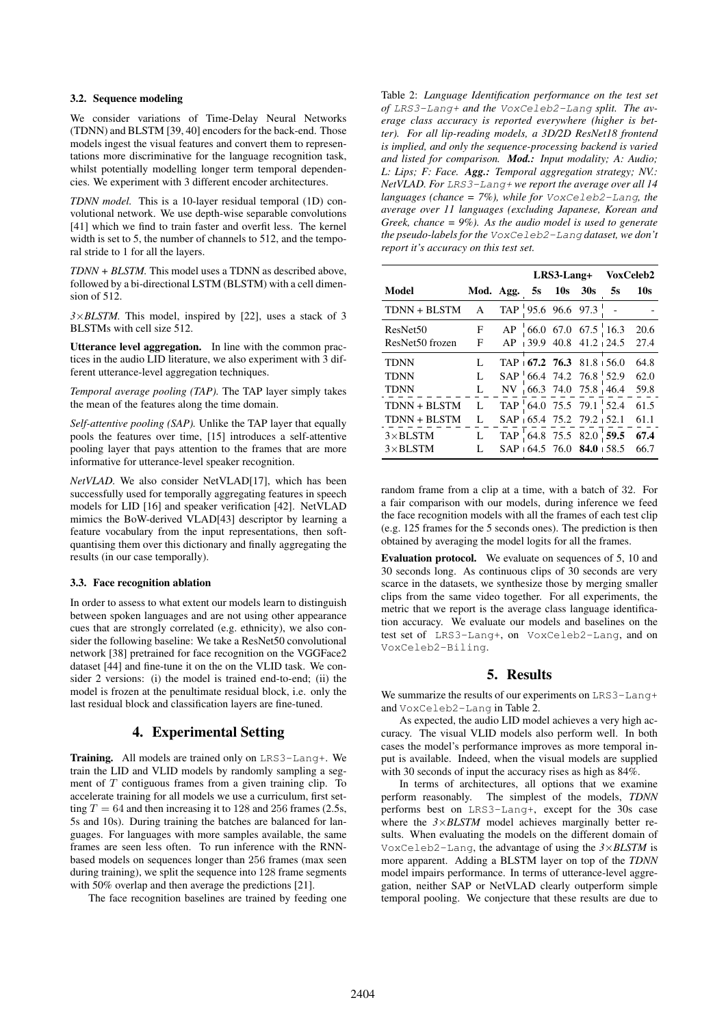#### 3.2. Sequence modeling

We consider variations of Time-Delay Neural Networks (TDNN) and BLSTM [39, 40] encoders for the back-end. Those models ingest the visual features and convert them to representations more discriminative for the language recognition task, whilst potentially modelling longer term temporal dependencies. We experiment with 3 different encoder architectures.

*TDNN model.* This is a 10-layer residual temporal (1D) convolutional network. We use depth-wise separable convolutions [41] which we find to train faster and overfit less. The kernel width is set to 5, the number of channels to 512, and the temporal stride to 1 for all the layers.

*TDNN + BLSTM.* This model uses a TDNN as described above, followed by a bi-directional LSTM (BLSTM) with a cell dimension of 512.

*3*×*BLSTM.* This model, inspired by [22], uses a stack of 3 BLSTMs with cell size 512.

Utterance level aggregation. In line with the common practices in the audio LID literature, we also experiment with 3 different utterance-level aggregation techniques.

*Temporal average pooling (TAP).* The TAP layer simply takes the mean of the features along the time domain.

*Self-attentive pooling (SAP).* Unlike the TAP layer that equally pools the features over time, [15] introduces a self-attentive pooling layer that pays attention to the frames that are more informative for utterance-level speaker recognition.

*NetVLAD.* We also consider NetVLAD[17], which has been successfully used for temporally aggregating features in speech models for LID [16] and speaker verification [42]. NetVLAD mimics the BoW-derived VLAD[43] descriptor by learning a feature vocabulary from the input representations, then softquantising them over this dictionary and finally aggregating the results (in our case temporally).

#### 3.3. Face recognition ablation

In order to assess to what extent our models learn to distinguish between spoken languages and are not using other appearance cues that are strongly correlated (e.g. ethnicity), we also consider the following baseline: We take a ResNet50 convolutional network [38] pretrained for face recognition on the VGGFace2 dataset [44] and fine-tune it on the on the VLID task. We consider 2 versions: (i) the model is trained end-to-end; (ii) the model is frozen at the penultimate residual block, i.e. only the last residual block and classification layers are fine-tuned.

### 4. Experimental Setting

Training. All models are trained only on LRS3-Lang+. We train the LID and VLID models by randomly sampling a segment of  $T$  contiguous frames from a given training clip. To accelerate training for all models we use a curriculum, first setting  $T = 64$  and then increasing it to 128 and 256 frames (2.5s, 5s and 10s). During training the batches are balanced for languages. For languages with more samples available, the same frames are seen less often. To run inference with the RNNbased models on sequences longer than 256 frames (max seen during training), we split the sequence into 128 frame segments with 50% overlap and then average the predictions [21].

The face recognition baselines are trained by feeding one

Table 2: *Language Identification performance on the test set of* LRS3-Lang+ *and the* VoxCeleb2-Lang *split. The average class accuracy is reported everywhere (higher is better). For all lip-reading models, a 3D/2D ResNet18 frontend is implied, and only the sequence-processing backend is varied and listed for comparison. Mod.: Input modality; A: Audio; L: Lips; F: Face. Agg.: Temporal aggregation strategy; NV.: NetVLAD. For* LRS3-Lang+ *we report the average over all 14 languages (chance = 7%), while for* VoxCeleb2-Lang*, the average over 11 languages (excluding Japanese, Korean and Greek, chance = 9%). As the audio model is used to generate the pseudo-labels for the* VoxCeleb2-Lang *dataset, we don't report it's accuracy on this test set.*

|                 |              | $LRS3-Lang+$ |            | VoxCeleb2                                           |    |                 |
|-----------------|--------------|--------------|------------|-----------------------------------------------------|----|-----------------|
| Model           | Mod. Agg.    |              | 5s 10s 30s |                                                     | 5s | 10 <sub>s</sub> |
| TDNN + BLSTM    | $\mathsf{A}$ |              |            | TAP 95.6 96.6 97.3                                  |    |                 |
| ResNet50        | F            |              |            | AP $\frac{1}{1}$ 66.0 67.0 67.5 16.3                |    | 20.6            |
| ResNet50 frozen | F            |              |            | AP 139.9 40.8 41.2 124.5                            |    | 27.4            |
| <b>TDNN</b>     | L            |              |            | $TAP + 67.2$ 76.3 81.8 56.0                         |    | 64.8            |
| <b>TDNN</b>     | L            |              |            | SAP 66.4 74.2 76.8 52.9                             |    | 62.0            |
| <b>TDNN</b>     | L            |              |            | NV 66.3 74.0 75.8 46.4                              |    | 59.8            |
| TDNN + BLSTM    | L            |              |            | TAP 64.0 75.5 79.1 52.4                             |    | 61.5            |
| TDNN + BLSTM    | L            |              |            | $SAP + 65.4$ 75.2 79.2 52.1                         |    | 61.1            |
| $3\times$ BLSTM | L            |              |            | TAP $\frac{1}{1}$ 64.8 75.5 82.0 $\frac{1}{1}$ 59.5 |    | 67.4            |
| $3\times$ BLSTM |              |              |            | $SAP + 64.5$ 76.0 <b>84.0</b> + 58.5                |    | 66.7            |

random frame from a clip at a time, with a batch of 32. For a fair comparison with our models, during inference we feed the face recognition models with all the frames of each test clip (e.g. 125 frames for the 5 seconds ones). The prediction is then obtained by averaging the model logits for all the frames.

Evaluation protocol. We evaluate on sequences of 5, 10 and 30 seconds long. As continuous clips of 30 seconds are very scarce in the datasets, we synthesize those by merging smaller clips from the same video together. For all experiments, the metric that we report is the average class language identification accuracy. We evaluate our models and baselines on the test set of LRS3-Lang+, on VoxCeleb2-Lang, and on VoxCeleb2-Biling.

# 5. Results

We summarize the results of our experiments on LRS3-Lang+ and VoxCeleb2-Lang in Table 2.

As expected, the audio LID model achieves a very high accuracy. The visual VLID models also perform well. In both cases the model's performance improves as more temporal input is available. Indeed, when the visual models are supplied with 30 seconds of input the accuracy rises as high as 84%.

In terms of architectures, all options that we examine perform reasonably. The simplest of the models, *TDNN* performs best on LRS3-Lang+, except for the 30s case where the  $3 \times BLSTM$  model achieves marginally better results. When evaluating the models on the different domain of VoxCeleb2-Lang, the advantage of using the *3*×*BLSTM* is more apparent. Adding a BLSTM layer on top of the *TDNN* model impairs performance. In terms of utterance-level aggregation, neither SAP or NetVLAD clearly outperform simple temporal pooling. We conjecture that these results are due to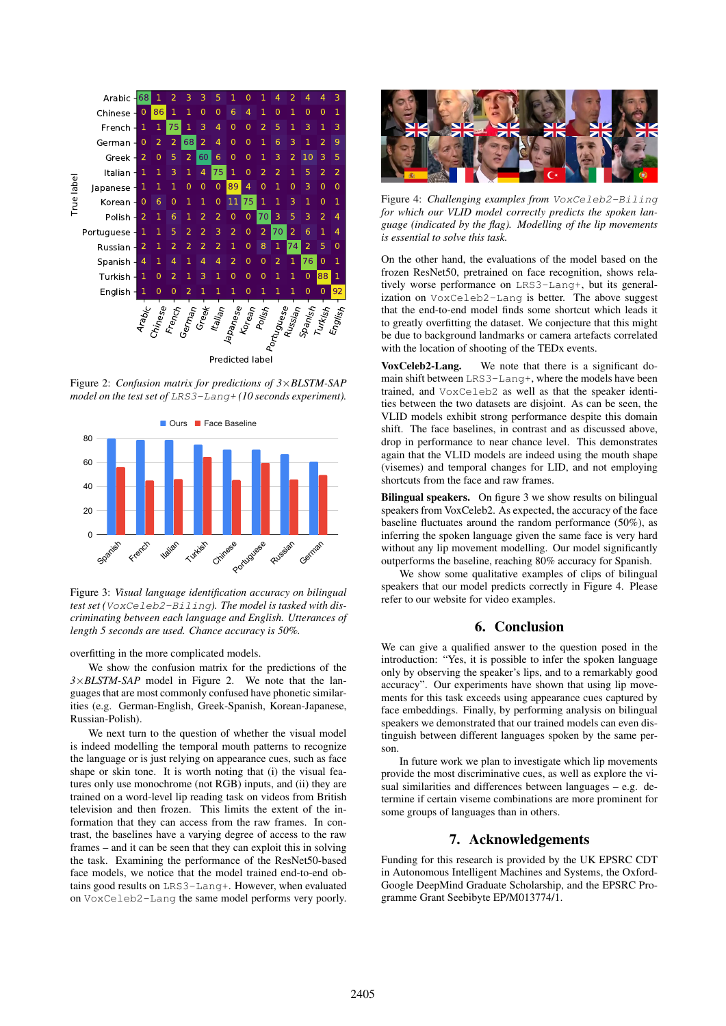

Figure 2: *Confusion matrix for predictions of 3*×*BLSTM-SAP model on the test set of* LRS3-Lang+ *(10 seconds experiment).*



Figure 3: *Visual language identification accuracy on bilingual test set (*VoxCeleb2-Biling*). The model is tasked with discriminating between each language and English. Utterances of length 5 seconds are used. Chance accuracy is 50%.*

overfitting in the more complicated models.

We show the confusion matrix for the predictions of the *3*×*BLSTM-SAP* model in Figure 2. We note that the languages that are most commonly confused have phonetic similarities (e.g. German-English, Greek-Spanish, Korean-Japanese, Russian-Polish).

We next turn to the question of whether the visual model is indeed modelling the temporal mouth patterns to recognize the language or is just relying on appearance cues, such as face shape or skin tone. It is worth noting that (i) the visual features only use monochrome (not RGB) inputs, and (ii) they are trained on a word-level lip reading task on videos from British television and then frozen. This limits the extent of the information that they can access from the raw frames. In contrast, the baselines have a varying degree of access to the raw frames – and it can be seen that they can exploit this in solving the task. Examining the performance of the ResNet50-based face models, we notice that the model trained end-to-end obtains good results on LRS3-Lang+. However, when evaluated on VoxCeleb2-Lang the same model performs very poorly.



Figure 4: *Challenging examples from* VoxCeleb2-Biling *for which our VLID model correctly predicts the spoken language (indicated by the flag). Modelling of the lip movements is essential to solve this task.*

On the other hand, the evaluations of the model based on the frozen ResNet50, pretrained on face recognition, shows relatively worse performance on LRS3-Lang+, but its generalization on VoxCeleb2-Lang is better. The above suggest that the end-to-end model finds some shortcut which leads it to greatly overfitting the dataset. We conjecture that this might be due to background landmarks or camera artefacts correlated with the location of shooting of the TEDx events.

VoxCeleb2-Lang. We note that there is a significant domain shift between LRS3-Lang+, where the models have been trained, and VoxCeleb2 as well as that the speaker identities between the two datasets are disjoint. As can be seen, the VLID models exhibit strong performance despite this domain shift. The face baselines, in contrast and as discussed above, drop in performance to near chance level. This demonstrates again that the VLID models are indeed using the mouth shape (visemes) and temporal changes for LID, and not employing shortcuts from the face and raw frames.

Bilingual speakers. On figure 3 we show results on bilingual speakers from VoxCeleb2. As expected, the accuracy of the face baseline fluctuates around the random performance (50%), as inferring the spoken language given the same face is very hard without any lip movement modelling. Our model significantly outperforms the baseline, reaching 80% accuracy for Spanish.

We show some qualitative examples of clips of bilingual speakers that our model predicts correctly in Figure 4. Please refer to our website for video examples.

# 6. Conclusion

We can give a qualified answer to the question posed in the introduction: "Yes, it is possible to infer the spoken language only by observing the speaker's lips, and to a remarkably good accuracy". Our experiments have shown that using lip movements for this task exceeds using appearance cues captured by face embeddings. Finally, by performing analysis on bilingual speakers we demonstrated that our trained models can even distinguish between different languages spoken by the same person.

In future work we plan to investigate which lip movements provide the most discriminative cues, as well as explore the visual similarities and differences between languages – e.g. determine if certain viseme combinations are more prominent for some groups of languages than in others.

### 7. Acknowledgements

Funding for this research is provided by the UK EPSRC CDT in Autonomous Intelligent Machines and Systems, the Oxford-Google DeepMind Graduate Scholarship, and the EPSRC Programme Grant Seebibyte EP/M013774/1.